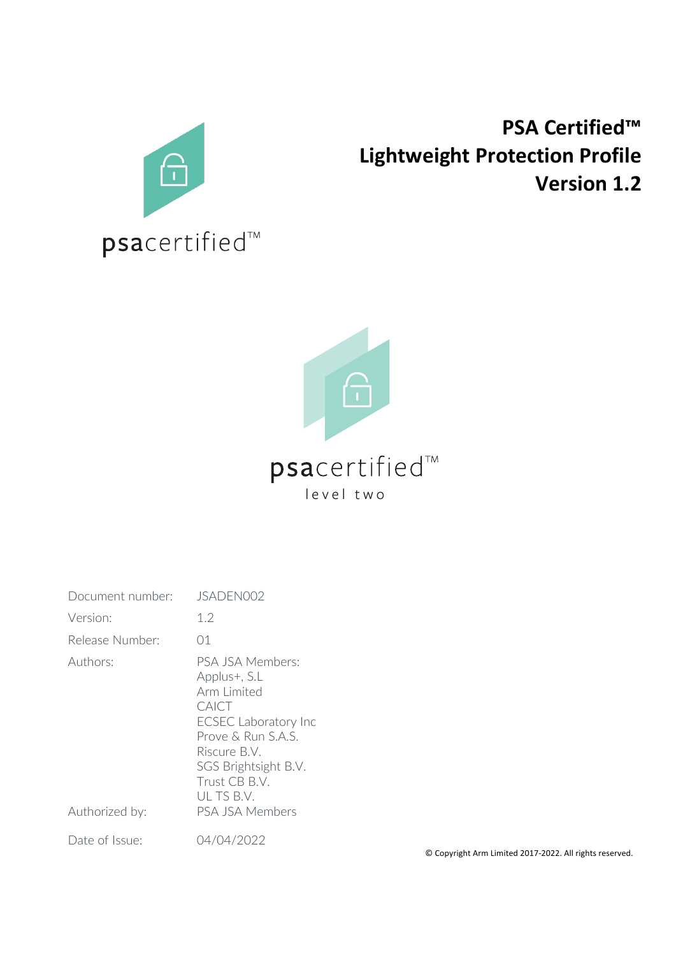

# **PSA Certified™ Lightweight Protection Profile Version 1.2**



# psacertified™ level two

| Document number:           | JSADEN002                                                                                                                                                                                              |
|----------------------------|--------------------------------------------------------------------------------------------------------------------------------------------------------------------------------------------------------|
| Version:                   | 1.2                                                                                                                                                                                                    |
| Release Number:            | 01                                                                                                                                                                                                     |
| Authors:<br>Authorized by: | PSA JSA Members:<br>Applus+, S.L<br>Arm Limited<br>CAICT<br><b>ECSEC Laboratory Inc</b><br>Prove & Run S.A.S.<br>Riscure B.V.<br>SGS Brightsight B.V.<br>Trust CB B.V.<br>ULTS B.V.<br>PSA JSA Members |
| Date of Issue:             | 04/04/2022                                                                                                                                                                                             |

© Copyright Arm Limited 2017-2022. All rights reserved.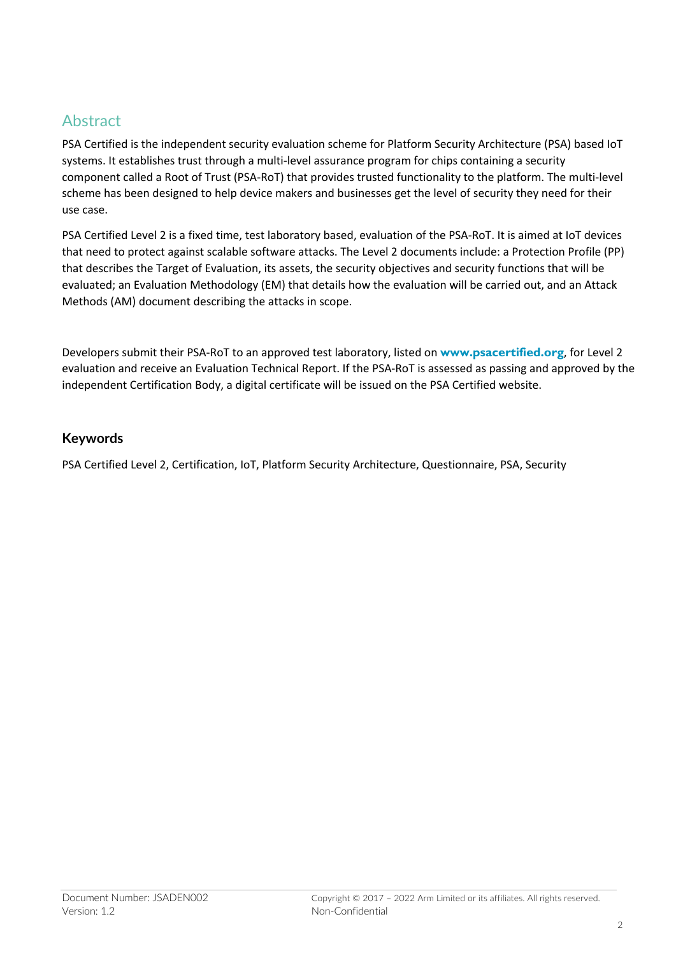## Abstract

PSA Certified is the independent security evaluation scheme for Platform Security Architecture (PSA) based IoT systems. It establishes trust through a multi-level assurance program for chips containing a security component called a Root of Trust (PSA-RoT) that provides trusted functionality to the platform. The multi-level scheme has been designed to help device makers and businesses get the level of security they need for their use case.

PSA Certified Level 2 is a fixed time, test laboratory based, evaluation of the PSA-RoT. It is aimed at IoT devices that need to protect against scalable software attacks. The Level 2 documents include: a Protection Profile (PP) that describes the Target of Evaluation, its assets, the security objectives and security functions that will be evaluated; an Evaluation Methodology (EM) that details how the evaluation will be carried out, and an Attack Methods (AM) document describing the attacks in scope.

Developers submit their PSA-RoT to an approved test laboratory, listed on **www.psacertified.org**, for Level 2 evaluation and receive an Evaluation Technical Report. If the PSA-RoT is assessed as passing and approved by the independent Certification Body, a digital certificate will be issued on the PSA Certified website.

#### **Keywords**

PSA Certified Level 2, Certification, IoT, Platform Security Architecture, Questionnaire, PSA, Security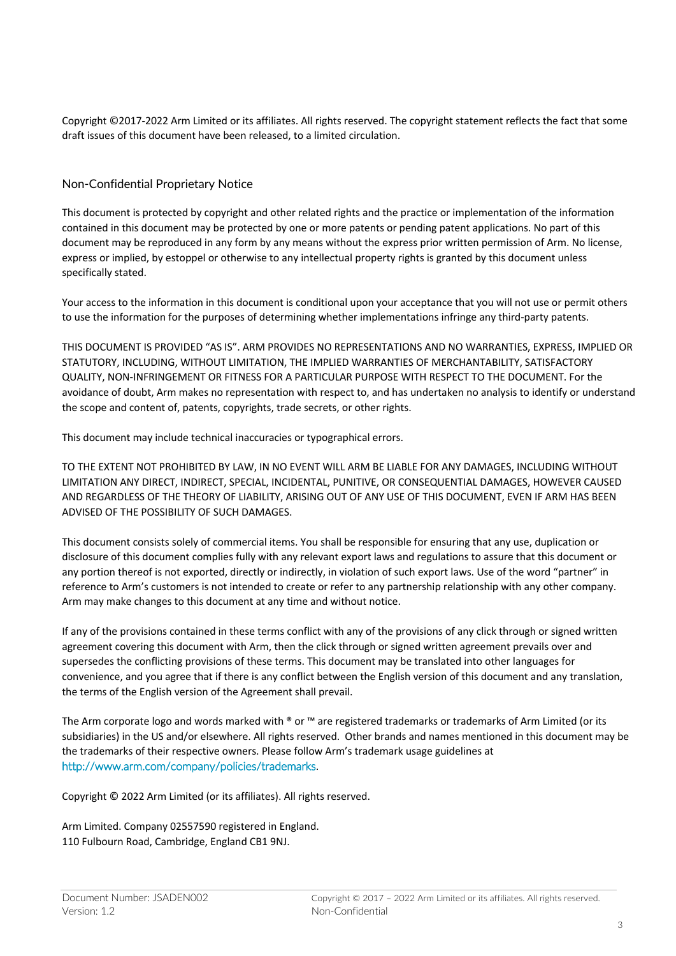Copyright ©2017-2022 Arm Limited or its affiliates. All rights reserved. The copyright statement reflects the fact that some draft issues of this document have been released, to a limited circulation.

#### Non-Confidential Proprietary Notice

This document is protected by copyright and other related rights and the practice or implementation of the information contained in this document may be protected by one or more patents or pending patent applications. No part of this document may be reproduced in any form by any means without the express prior written permission of Arm. No license, express or implied, by estoppel or otherwise to any intellectual property rights is granted by this document unless specifically stated.

Your access to the information in this document is conditional upon your acceptance that you will not use or permit others to use the information for the purposes of determining whether implementations infringe any third-party patents.

THIS DOCUMENT IS PROVIDED "AS IS". ARM PROVIDES NO REPRESENTATIONS AND NO WARRANTIES, EXPRESS, IMPLIED OR STATUTORY, INCLUDING, WITHOUT LIMITATION, THE IMPLIED WARRANTIES OF MERCHANTABILITY, SATISFACTORY QUALITY, NON-INFRINGEMENT OR FITNESS FOR A PARTICULAR PURPOSE WITH RESPECT TO THE DOCUMENT. For the avoidance of doubt, Arm makes no representation with respect to, and has undertaken no analysis to identify or understand the scope and content of, patents, copyrights, trade secrets, or other rights.

This document may include technical inaccuracies or typographical errors.

TO THE EXTENT NOT PROHIBITED BY LAW, IN NO EVENT WILL ARM BE LIABLE FOR ANY DAMAGES, INCLUDING WITHOUT LIMITATION ANY DIRECT, INDIRECT, SPECIAL, INCIDENTAL, PUNITIVE, OR CONSEQUENTIAL DAMAGES, HOWEVER CAUSED AND REGARDLESS OF THE THEORY OF LIABILITY, ARISING OUT OF ANY USE OF THIS DOCUMENT, EVEN IF ARM HAS BEEN ADVISED OF THE POSSIBILITY OF SUCH DAMAGES.

This document consists solely of commercial items. You shall be responsible for ensuring that any use, duplication or disclosure of this document complies fully with any relevant export laws and regulations to assure that this document or any portion thereof is not exported, directly or indirectly, in violation of such export laws. Use of the word "partner" in reference to Arm's customers is not intended to create or refer to any partnership relationship with any other company. Arm may make changes to this document at any time and without notice.

If any of the provisions contained in these terms conflict with any of the provisions of any click through or signed written agreement covering this document with Arm, then the click through or signed written agreement prevails over and supersedes the conflicting provisions of these terms. This document may be translated into other languages for convenience, and you agree that if there is any conflict between the English version of this document and any translation, the terms of the English version of the Agreement shall prevail.

The Arm corporate logo and words marked with ® or ™ are registered trademarks or trademarks of Arm Limited (or its subsidiaries) in the US and/or elsewhere. All rights reserved. Other brands and names mentioned in this document may be the trademarks of their respective owners. Please follow Arm's trademark usage guidelines at http://www.arm.com/company/policies/trademarks.

Copyright © 2022 Arm Limited (or its affiliates). All rights reserved.

Arm Limited. Company 02557590 registered in England. 110 Fulbourn Road, Cambridge, England CB1 9NJ.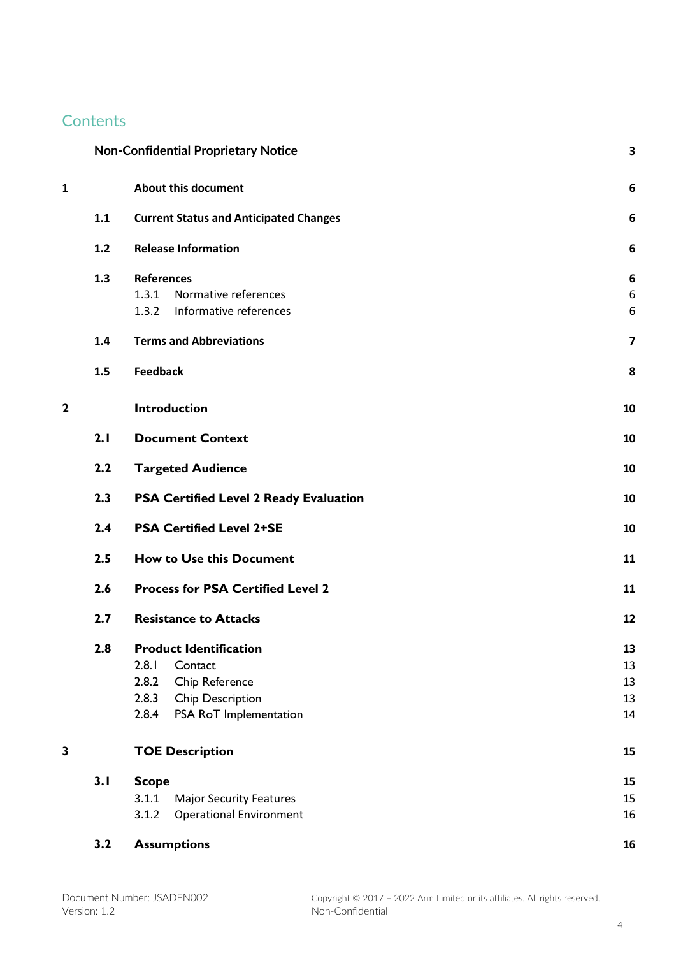## **Contents**

|   |     | <b>Non-Confidential Proprietary Notice</b>    | 3  |
|---|-----|-----------------------------------------------|----|
| 1 |     | <b>About this document</b>                    | 6  |
|   | 1.1 | <b>Current Status and Anticipated Changes</b> | 6  |
|   | 1.2 | <b>Release Information</b>                    | 6  |
|   | 1.3 | <b>References</b>                             | 6  |
|   |     | 1.3.1<br>Normative references                 | 6  |
|   |     | Informative references<br>1.3.2               | 6  |
|   | 1.4 | <b>Terms and Abbreviations</b>                | 7  |
|   | 1.5 | <b>Feedback</b>                               | 8  |
| 2 |     | <b>Introduction</b>                           | 10 |
|   | 2.1 | <b>Document Context</b>                       | 10 |
|   | 2.2 | <b>Targeted Audience</b>                      | 10 |
|   | 2.3 | <b>PSA Certified Level 2 Ready Evaluation</b> | 10 |
|   | 2.4 | <b>PSA Certified Level 2+SE</b>               | 10 |
|   | 2.5 | <b>How to Use this Document</b>               | 11 |
|   | 2.6 | <b>Process for PSA Certified Level 2</b>      | 11 |
|   | 2.7 | <b>Resistance to Attacks</b>                  | 12 |
|   | 2.8 | <b>Product Identification</b>                 | 13 |
|   |     | 2.8.1<br>Contact                              | 13 |
|   |     | 2.8.2<br>Chip Reference                       | 13 |
|   |     | 2.8.3<br>Chip Description                     | 13 |
|   |     | PSA RoT Implementation<br>2.8.4               | 14 |
| 3 |     | <b>TOE Description</b>                        | 15 |
|   | 3.1 | <b>Scope</b>                                  | 15 |
|   |     | 3.1.1<br><b>Major Security Features</b>       | 15 |
|   |     | <b>Operational Environment</b><br>3.1.2       | 16 |
|   | 3.2 | <b>Assumptions</b>                            | 16 |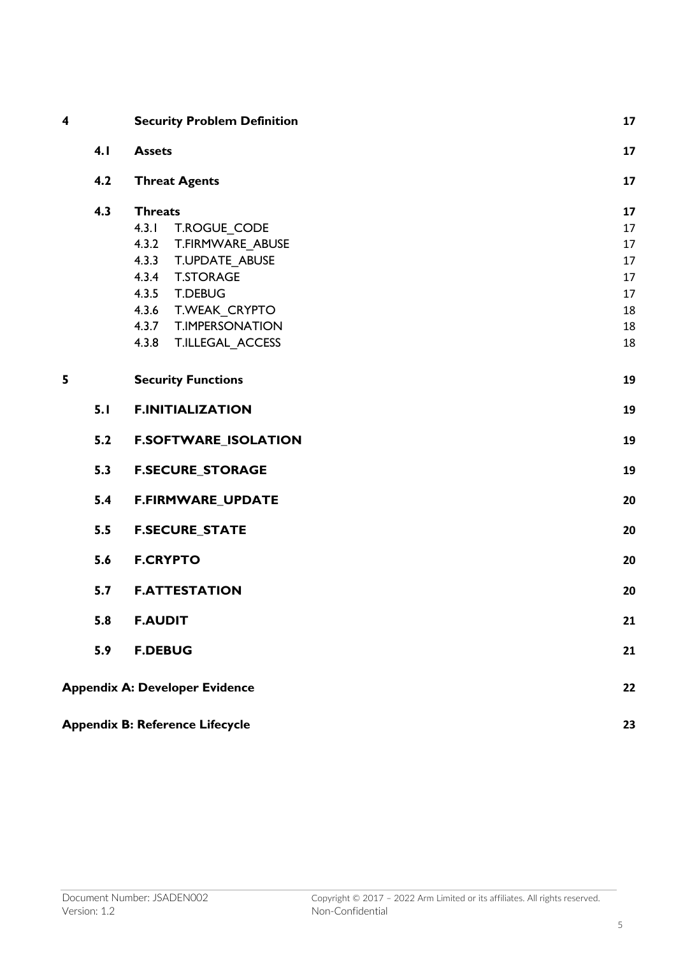| 4 |     | <b>Security Problem Definition</b>                                                                                                                                        | 17                               |
|---|-----|---------------------------------------------------------------------------------------------------------------------------------------------------------------------------|----------------------------------|
|   | 4.1 | <b>Assets</b>                                                                                                                                                             | 17                               |
|   | 4.2 | <b>Threat Agents</b>                                                                                                                                                      | 17                               |
|   | 4.3 | <b>Threats</b><br>4.3.1<br>T.ROGUE CODE<br>4.3.2<br>T.FIRMWARE ABUSE                                                                                                      | 17<br>17<br>17                   |
|   |     | T.UPDATE ABUSE<br>4.3.3<br><b>T.STORAGE</b><br>4.3.4<br>4.3.5<br><b>T.DEBUG</b><br>T.WEAK_CRYPTO<br>4.3.6<br><b>T.IMPERSONATION</b><br>4.3.7<br>4.3.8<br>T.ILLEGAL_ACCESS | 17<br>17<br>17<br>18<br>18<br>18 |
| 5 |     | <b>Security Functions</b>                                                                                                                                                 | 19                               |
|   | 5.1 | <b>F.INITIALIZATION</b>                                                                                                                                                   | 19                               |
|   | 5.2 | <b>F.SOFTWARE_ISOLATION</b>                                                                                                                                               | 19                               |
|   | 5.3 | <b>F.SECURE_STORAGE</b>                                                                                                                                                   | 19                               |
|   | 5.4 | F.FIRMWARE_UPDATE                                                                                                                                                         | 20                               |
|   | 5.5 | <b>F.SECURE_STATE</b>                                                                                                                                                     | 20                               |
|   | 5.6 | <b>F.CRYPTO</b>                                                                                                                                                           | 20                               |
|   | 5.7 | <b>F.ATTESTATION</b>                                                                                                                                                      | 20                               |
|   | 5.8 | <b>F.AUDIT</b>                                                                                                                                                            | 21                               |
|   | 5.9 | <b>F.DEBUG</b>                                                                                                                                                            | 21                               |
|   |     | <b>Appendix A: Developer Evidence</b>                                                                                                                                     | 22                               |
|   |     | <b>Appendix B: Reference Lifecycle</b>                                                                                                                                    | 23                               |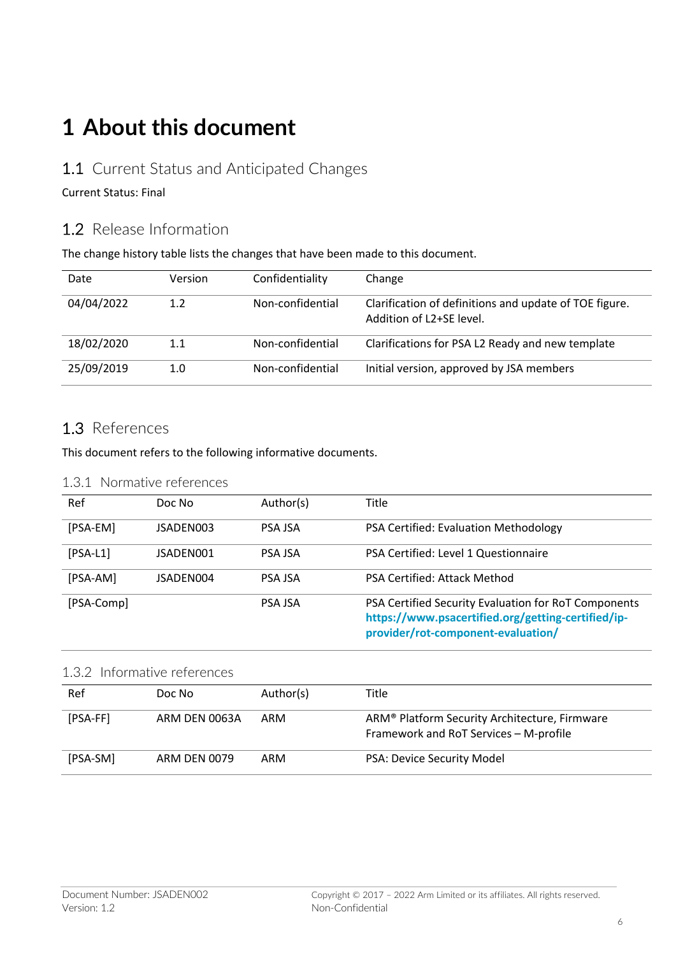# **1 About this document**

### 1.1 Current Status and Anticipated Changes

#### Current Status: Final

## 1.2 Release Information

The change history table lists the changes that have been made to this document.

| Date       | Version | Confidentiality  | Change                                                                                          |
|------------|---------|------------------|-------------------------------------------------------------------------------------------------|
| 04/04/2022 | 1.2     | Non-confidential | Clarification of definitions and update of TOE figure.<br>Addition of L <sub>2</sub> +SE level. |
| 18/02/2020 | 1.1     | Non-confidential | Clarifications for PSA L2 Ready and new template                                                |
| 25/09/2019 | 1.0     | Non-confidential | Initial version, approved by JSA members                                                        |

### 1.3 References

This document refers to the following informative documents.

#### 1.3.1 Normative references

| Ref        | Doc No    | Author(s)      | Title                                                                                                                                            |
|------------|-----------|----------------|--------------------------------------------------------------------------------------------------------------------------------------------------|
| [PSA-EM]   | ISADEN003 | <b>PSA ISA</b> | PSA Certified: Evaluation Methodology                                                                                                            |
| $[PSA-L1]$ | JSADEN001 | <b>PSA ISA</b> | PSA Certified: Level 1 Questionnaire                                                                                                             |
| [PSA-AM]   | JSADEN004 | <b>PSA ISA</b> | PSA Certified: Attack Method                                                                                                                     |
| [PSA-Comp] |           | <b>PSA ISA</b> | PSA Certified Security Evaluation for RoT Components<br>https://www.psacertified.org/getting-certified/ip-<br>provider/rot-component-evaluation/ |

| 1.3.2 Informative references |               |           |                                                                                         |
|------------------------------|---------------|-----------|-----------------------------------------------------------------------------------------|
| Ref                          | Doc No        | Author(s) | Title                                                                                   |
| [PSA-FF]                     | ARM DEN 0063A | ARM       | ARM® Platform Security Architecture, Firmware<br>Framework and RoT Services - M-profile |
| [PSA-SM]                     | ARM DEN 0079  | ARM       | PSA: Device Security Model                                                              |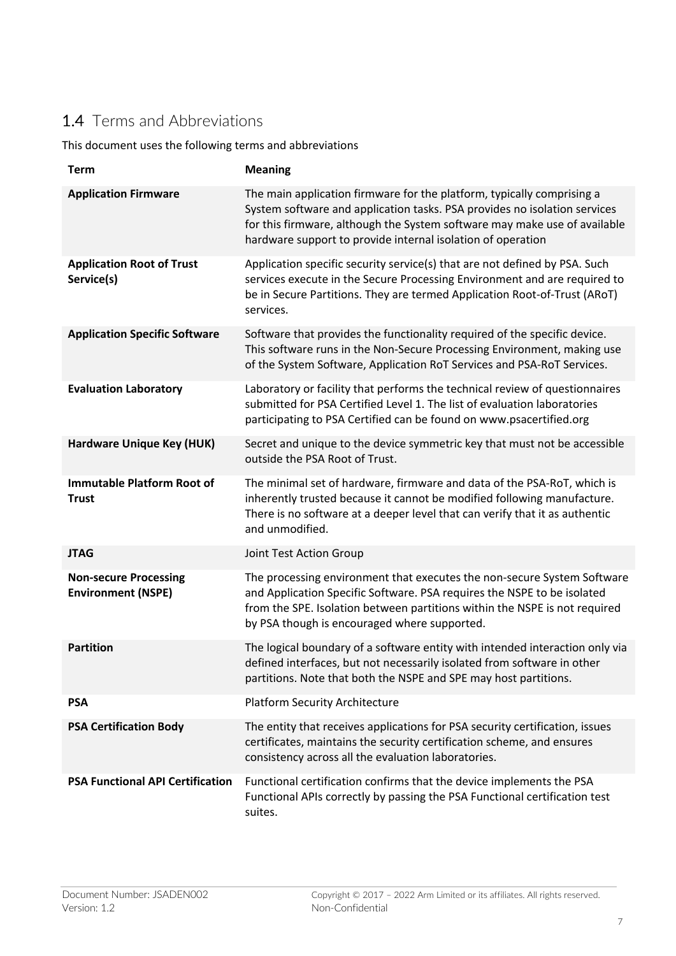## 1.4 Terms and Abbreviations

This document uses the following terms and abbreviations

| <b>Term</b>                                               | <b>Meaning</b>                                                                                                                                                                                                                                                                                  |
|-----------------------------------------------------------|-------------------------------------------------------------------------------------------------------------------------------------------------------------------------------------------------------------------------------------------------------------------------------------------------|
| <b>Application Firmware</b>                               | The main application firmware for the platform, typically comprising a<br>System software and application tasks. PSA provides no isolation services<br>for this firmware, although the System software may make use of available<br>hardware support to provide internal isolation of operation |
| <b>Application Root of Trust</b><br>Service(s)            | Application specific security service(s) that are not defined by PSA. Such<br>services execute in the Secure Processing Environment and are required to<br>be in Secure Partitions. They are termed Application Root-of-Trust (ARoT)<br>services.                                               |
| <b>Application Specific Software</b>                      | Software that provides the functionality required of the specific device.<br>This software runs in the Non-Secure Processing Environment, making use<br>of the System Software, Application RoT Services and PSA-RoT Services.                                                                  |
| <b>Evaluation Laboratory</b>                              | Laboratory or facility that performs the technical review of questionnaires<br>submitted for PSA Certified Level 1. The list of evaluation laboratories<br>participating to PSA Certified can be found on www.psacertified.org                                                                  |
| Hardware Unique Key (HUK)                                 | Secret and unique to the device symmetric key that must not be accessible<br>outside the PSA Root of Trust.                                                                                                                                                                                     |
| <b>Immutable Platform Root of</b><br><b>Trust</b>         | The minimal set of hardware, firmware and data of the PSA-RoT, which is<br>inherently trusted because it cannot be modified following manufacture.<br>There is no software at a deeper level that can verify that it as authentic<br>and unmodified.                                            |
| <b>JTAG</b>                                               | Joint Test Action Group                                                                                                                                                                                                                                                                         |
| <b>Non-secure Processing</b><br><b>Environment (NSPE)</b> | The processing environment that executes the non-secure System Software<br>and Application Specific Software. PSA requires the NSPE to be isolated<br>from the SPE. Isolation between partitions within the NSPE is not required<br>by PSA though is encouraged where supported.                |
| <b>Partition</b>                                          | The logical boundary of a software entity with intended interaction only via<br>defined interfaces, but not necessarily isolated from software in other<br>partitions. Note that both the NSPE and SPE may host partitions.                                                                     |
| <b>PSA</b>                                                | <b>Platform Security Architecture</b>                                                                                                                                                                                                                                                           |
| <b>PSA Certification Body</b>                             | The entity that receives applications for PSA security certification, issues<br>certificates, maintains the security certification scheme, and ensures<br>consistency across all the evaluation laboratories.                                                                                   |
| <b>PSA Functional API Certification</b>                   | Functional certification confirms that the device implements the PSA<br>Functional APIs correctly by passing the PSA Functional certification test<br>suites.                                                                                                                                   |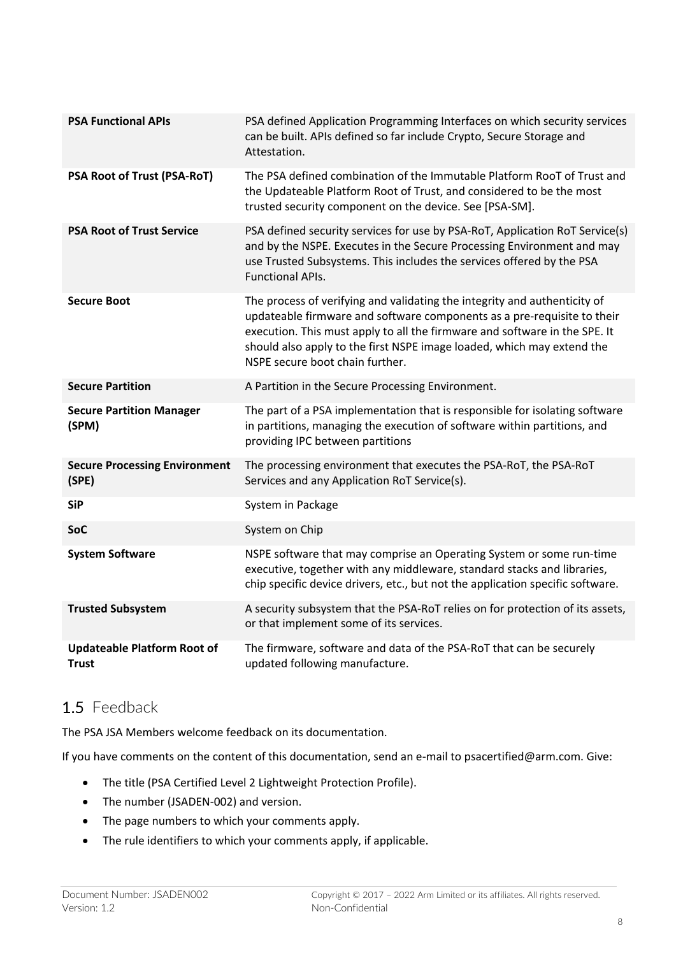| <b>PSA Functional APIs</b>                         | PSA defined Application Programming Interfaces on which security services<br>can be built. APIs defined so far include Crypto, Secure Storage and<br>Attestation.                                                                                                                                                                               |
|----------------------------------------------------|-------------------------------------------------------------------------------------------------------------------------------------------------------------------------------------------------------------------------------------------------------------------------------------------------------------------------------------------------|
| PSA Root of Trust (PSA-RoT)                        | The PSA defined combination of the Immutable Platform RooT of Trust and<br>the Updateable Platform Root of Trust, and considered to be the most<br>trusted security component on the device. See [PSA-SM].                                                                                                                                      |
| <b>PSA Root of Trust Service</b>                   | PSA defined security services for use by PSA-RoT, Application RoT Service(s)<br>and by the NSPE. Executes in the Secure Processing Environment and may<br>use Trusted Subsystems. This includes the services offered by the PSA<br><b>Functional APIs.</b>                                                                                      |
| <b>Secure Boot</b>                                 | The process of verifying and validating the integrity and authenticity of<br>updateable firmware and software components as a pre-requisite to their<br>execution. This must apply to all the firmware and software in the SPE. It<br>should also apply to the first NSPE image loaded, which may extend the<br>NSPE secure boot chain further. |
| <b>Secure Partition</b>                            | A Partition in the Secure Processing Environment.                                                                                                                                                                                                                                                                                               |
| <b>Secure Partition Manager</b><br>(SPM)           | The part of a PSA implementation that is responsible for isolating software<br>in partitions, managing the execution of software within partitions, and<br>providing IPC between partitions                                                                                                                                                     |
| <b>Secure Processing Environment</b><br>(SPE)      | The processing environment that executes the PSA-RoT, the PSA-RoT<br>Services and any Application RoT Service(s).                                                                                                                                                                                                                               |
| <b>SiP</b>                                         | System in Package                                                                                                                                                                                                                                                                                                                               |
| <b>SoC</b>                                         | System on Chip                                                                                                                                                                                                                                                                                                                                  |
| <b>System Software</b>                             | NSPE software that may comprise an Operating System or some run-time<br>executive, together with any middleware, standard stacks and libraries,<br>chip specific device drivers, etc., but not the application specific software.                                                                                                               |
| <b>Trusted Subsystem</b>                           | A security subsystem that the PSA-RoT relies on for protection of its assets,<br>or that implement some of its services.                                                                                                                                                                                                                        |
| <b>Updateable Platform Root of</b><br><b>Trust</b> | The firmware, software and data of the PSA-RoT that can be securely<br>updated following manufacture.                                                                                                                                                                                                                                           |

## 1.5 Feedback

The PSA JSA Members welcome feedback on its documentation.

If you have comments on the content of this documentation, send an e-mail to psacertified@arm.com. Give:

- The title (PSA Certified Level 2 Lightweight Protection Profile).
- The number (JSADEN-002) and version.
- The page numbers to which your comments apply.
- The rule identifiers to which your comments apply, if applicable.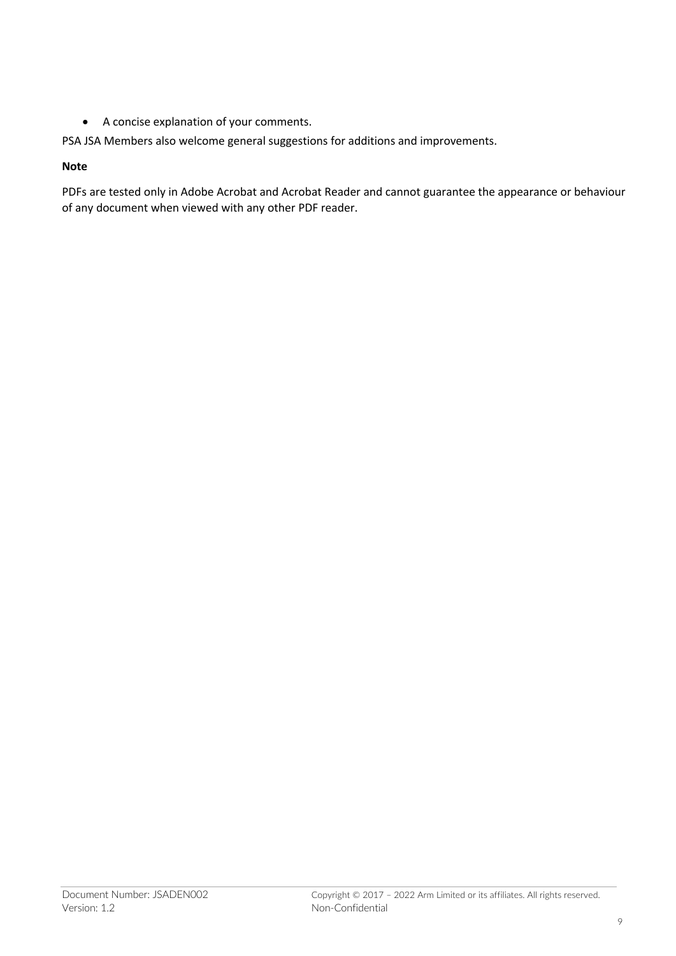• A concise explanation of your comments.

PSA JSA Members also welcome general suggestions for additions and improvements.

#### **Note**

PDFs are tested only in Adobe Acrobat and Acrobat Reader and cannot guarantee the appearance or behaviour of any document when viewed with any other PDF reader.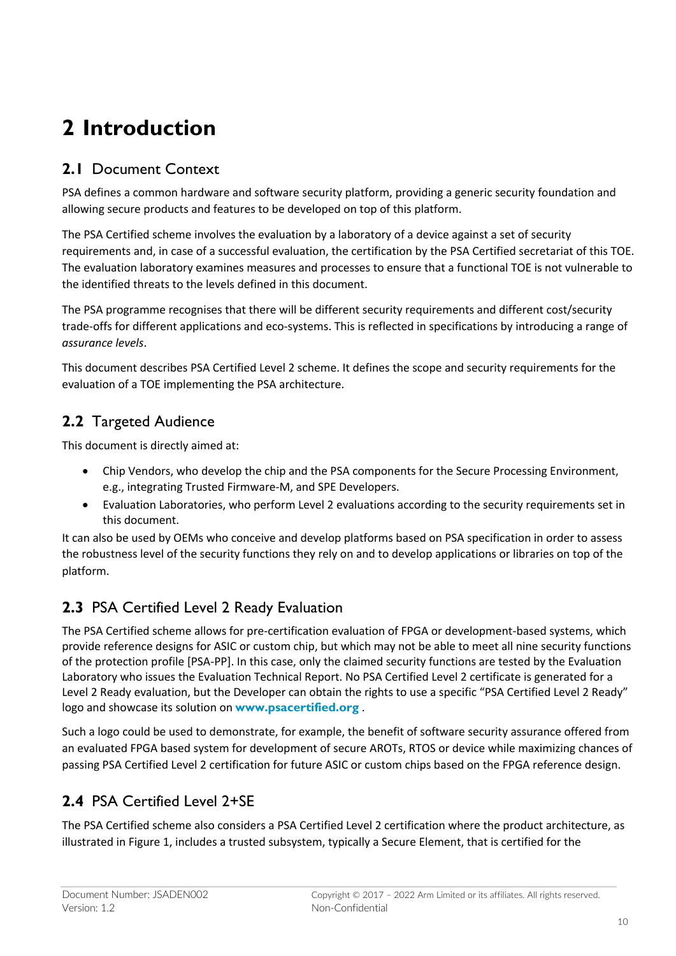# **2 Introduction**

## **2.1** Document Context

PSA defines a common hardware and software security platform, providing a generic security foundation and allowing secure products and features to be developed on top of this platform.

The PSA Certified scheme involves the evaluation by a laboratory of a device against a set of security requirements and, in case of a successful evaluation, the certification by the PSA Certified secretariat of this TOE. The evaluation laboratory examines measures and processes to ensure that a functional TOE is not vulnerable to the identified threats to the levels defined in this document.

The PSA programme recognises that there will be different security requirements and different cost/security trade-offs for different applications and eco-systems. This is reflected in specifications by introducing a range of *assurance levels*.

This document describes PSA Certified Level 2 scheme. It defines the scope and security requirements for the evaluation of a TOE implementing the PSA architecture.

## **2.2** Targeted Audience

This document is directly aimed at:

- Chip Vendors, who develop the chip and the PSA components for the Secure Processing Environment, e.g., integrating Trusted Firmware-M, and SPE Developers.
- Evaluation Laboratories, who perform Level 2 evaluations according to the security requirements set in this document.

It can also be used by OEMs who conceive and develop platforms based on PSA specification in order to assess the robustness level of the security functions they rely on and to develop applications or libraries on top of the platform.

## **2.3** PSA Certified Level 2 Ready Evaluation

The PSA Certified scheme allows for pre-certification evaluation of FPGA or development-based systems, which provide reference designs for ASIC or custom chip, but which may not be able to meet all nine security functions of the protection profile [PSA-PP]. In this case, only the claimed security functions are tested by the Evaluation Laboratory who issues the Evaluation Technical Report. No PSA Certified Level 2 certificate is generated for a Level 2 Ready evaluation, but the Developer can obtain the rights to use a specific "PSA Certified Level 2 Ready" logo and showcase its solution on **www.psacertified.org** .

Such a logo could be used to demonstrate, for example, the benefit of software security assurance offered from an evaluated FPGA based system for development of secure AROTs, RTOS or device while maximizing chances of passing PSA Certified Level 2 certification for future ASIC or custom chips based on the FPGA reference design.

## **2.4** PSA Certified Level 2+SE

The PSA Certified scheme also considers a PSA Certified Level 2 certification where the product architecture, as illustrated in Figure 1, includes a trusted subsystem, typically a Secure Element, that is certified for the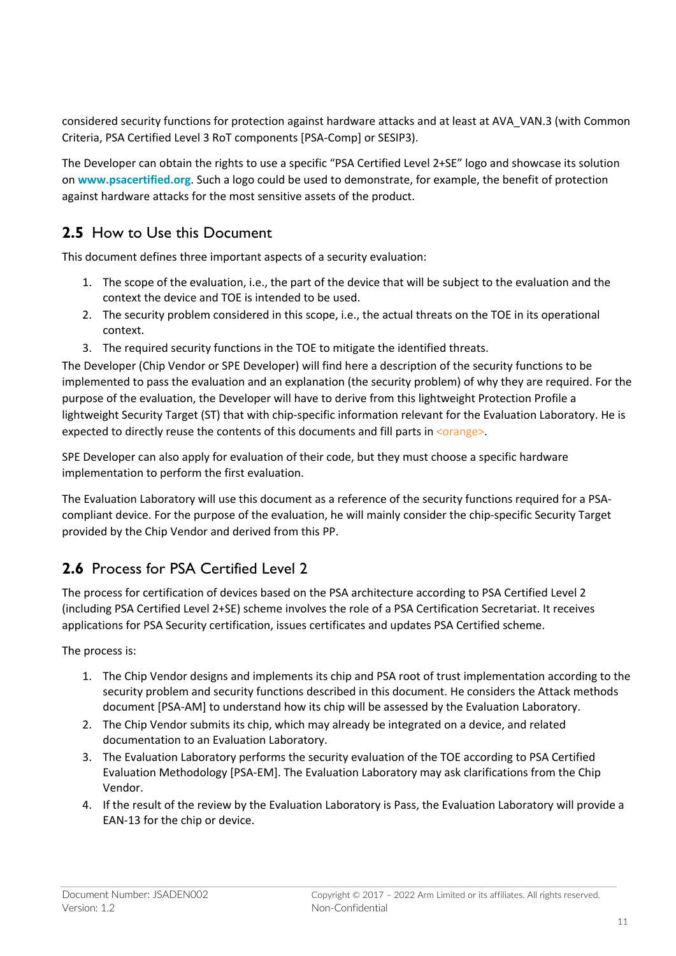considered security functions for protection against hardware attacks and at least at AVA\_VAN.3 (with Common Criteria, PSA Certified Level 3 RoT components [PSA-Comp] or SESIP3).

The Developer can obtain the rights to use a specific "PSA Certified Level 2+SE" logo and showcase its solution on **www.psacertified.org**. Such a logo could be used to demonstrate, for example, the benefit of protection against hardware attacks for the most sensitive assets of the product.

## **2.5** How to Use this Document

This document defines three important aspects of a security evaluation:

- 1. The scope of the evaluation, i.e., the part of the device that will be subject to the evaluation and the context the device and TOE is intended to be used.
- 2. The security problem considered in this scope, i.e., the actual threats on the TOE in its operational context.
- 3. The required security functions in the TOE to mitigate the identified threats.

The Developer (Chip Vendor or SPE Developer) will find here a description of the security functions to be implemented to pass the evaluation and an explanation (the security problem) of why they are required. For the purpose of the evaluation, the Developer will have to derive from this lightweight Protection Profile a lightweight Security Target (ST) that with chip-specific information relevant for the Evaluation Laboratory. He is expected to directly reuse the contents of this documents and fill parts in <orange>

SPE Developer can also apply for evaluation of their code, but they must choose a specific hardware implementation to perform the first evaluation.

The Evaluation Laboratory will use this document as a reference of the security functions required for a PSAcompliant device. For the purpose of the evaluation, he will mainly consider the chip-specific Security Target provided by the Chip Vendor and derived from this PP.

## **2.6** Process for PSA Certified Level 2

The process for certification of devices based on the PSA architecture according to PSA Certified Level 2 (including PSA Certified Level 2+SE) scheme involves the role of a PSA Certification Secretariat. It receives applications for PSA Security certification, issues certificates and updates PSA Certified scheme.

The process is:

- 1. The Chip Vendor designs and implements its chip and PSA root of trust implementation according to the security problem and security functions described in this document. He considers the Attack methods document [PSA-AM] to understand how its chip will be assessed by the Evaluation Laboratory.
- 2. The Chip Vendor submits its chip, which may already be integrated on a device, and related documentation to an Evaluation Laboratory.
- 3. The Evaluation Laboratory performs the security evaluation of the TOE according to PSA Certified Evaluation Methodology [PSA-EM]. The Evaluation Laboratory may ask clarifications from the Chip Vendor.
- 4. If the result of the review by the Evaluation Laboratory is Pass, the Evaluation Laboratory will provide a EAN-13 for the chip or device.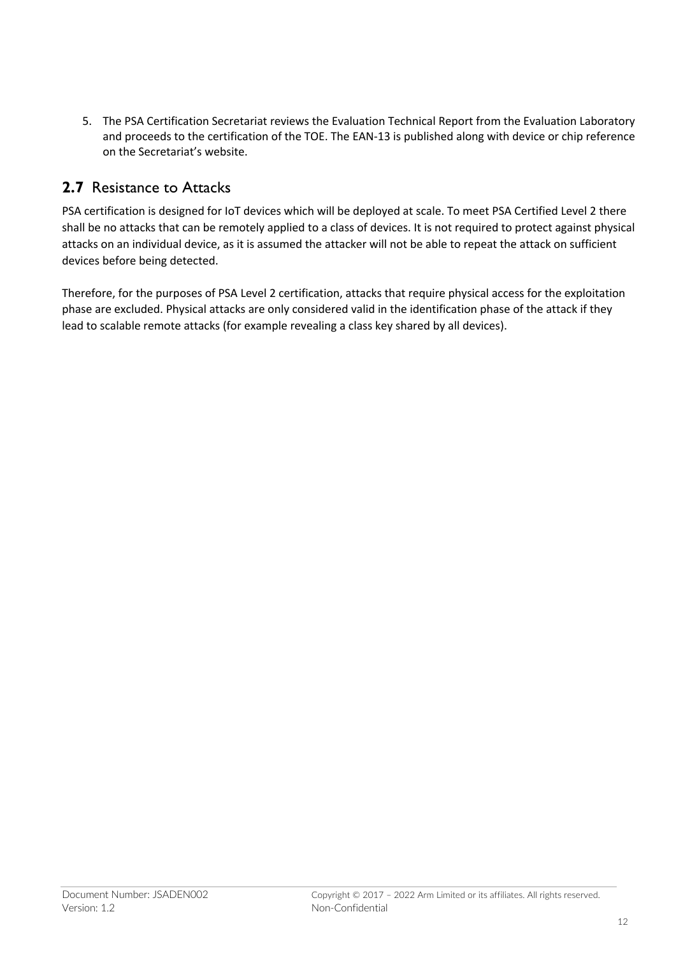5. The PSA Certification Secretariat reviews the Evaluation Technical Report from the Evaluation Laboratory and proceeds to the certification of the TOE. The EAN-13 is published along with device or chip reference on the Secretariat's website.

### **2.7** Resistance to Attacks

PSA certification is designed for IoT devices which will be deployed at scale. To meet PSA Certified Level 2 there shall be no attacks that can be remotely applied to a class of devices. It is not required to protect against physical attacks on an individual device, as it is assumed the attacker will not be able to repeat the attack on sufficient devices before being detected.

Therefore, for the purposes of PSA Level 2 certification, attacks that require physical access for the exploitation phase are excluded. Physical attacks are only considered valid in the identification phase of the attack if they lead to scalable remote attacks (for example revealing a class key shared by all devices).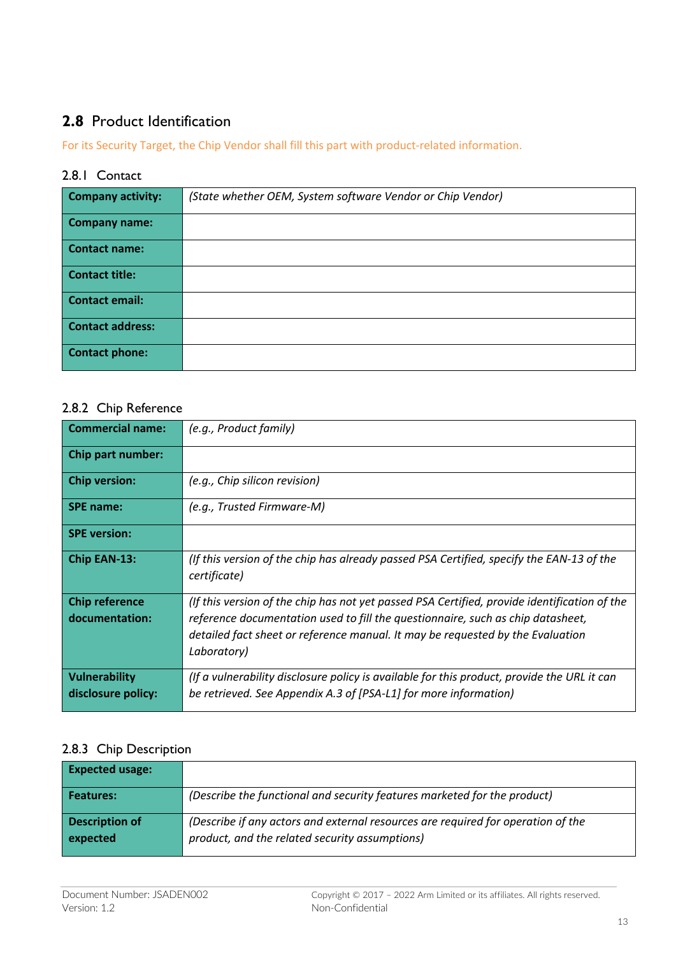## **2.8** Product Identification

For its Security Target, the Chip Vendor shall fill this part with product-related information.

#### 2.8.1 Contact

| <b>Company activity:</b> | (State whether OEM, System software Vendor or Chip Vendor) |
|--------------------------|------------------------------------------------------------|
| <b>Company name:</b>     |                                                            |
| <b>Contact name:</b>     |                                                            |
| <b>Contact title:</b>    |                                                            |
| <b>Contact email:</b>    |                                                            |
| <b>Contact address:</b>  |                                                            |
| <b>Contact phone:</b>    |                                                            |

#### 2.8.2 Chip Reference

| <b>Commercial name:</b>                 | (e.g., Product family)                                                                                                                                                                                                                                                           |
|-----------------------------------------|----------------------------------------------------------------------------------------------------------------------------------------------------------------------------------------------------------------------------------------------------------------------------------|
| Chip part number:                       |                                                                                                                                                                                                                                                                                  |
| <b>Chip version:</b>                    | (e.g., Chip silicon revision)                                                                                                                                                                                                                                                    |
| <b>SPE name:</b>                        | (e.g., Trusted Firmware-M)                                                                                                                                                                                                                                                       |
| <b>SPE</b> version:                     |                                                                                                                                                                                                                                                                                  |
| Chip EAN-13:                            | (If this version of the chip has already passed PSA Certified, specify the EAN-13 of the<br>certificate)                                                                                                                                                                         |
| <b>Chip reference</b><br>documentation: | (If this version of the chip has not yet passed PSA Certified, provide identification of the<br>reference documentation used to fill the questionnaire, such as chip datasheet,<br>detailed fact sheet or reference manual. It may be requested by the Evaluation<br>Laboratory) |
| Vulnerability<br>disclosure policy:     | (If a vulnerability disclosure policy is available for this product, provide the URL it can<br>be retrieved. See Appendix A.3 of [PSA-L1] for more information)                                                                                                                  |

### 2.8.3 Chip Description

| <b>Expected usage:</b>            |                                                                                                                                    |
|-----------------------------------|------------------------------------------------------------------------------------------------------------------------------------|
| Features:                         | (Describe the functional and security features marketed for the product)                                                           |
| <b>Description of</b><br>expected | (Describe if any actors and external resources are required for operation of the<br>product, and the related security assumptions) |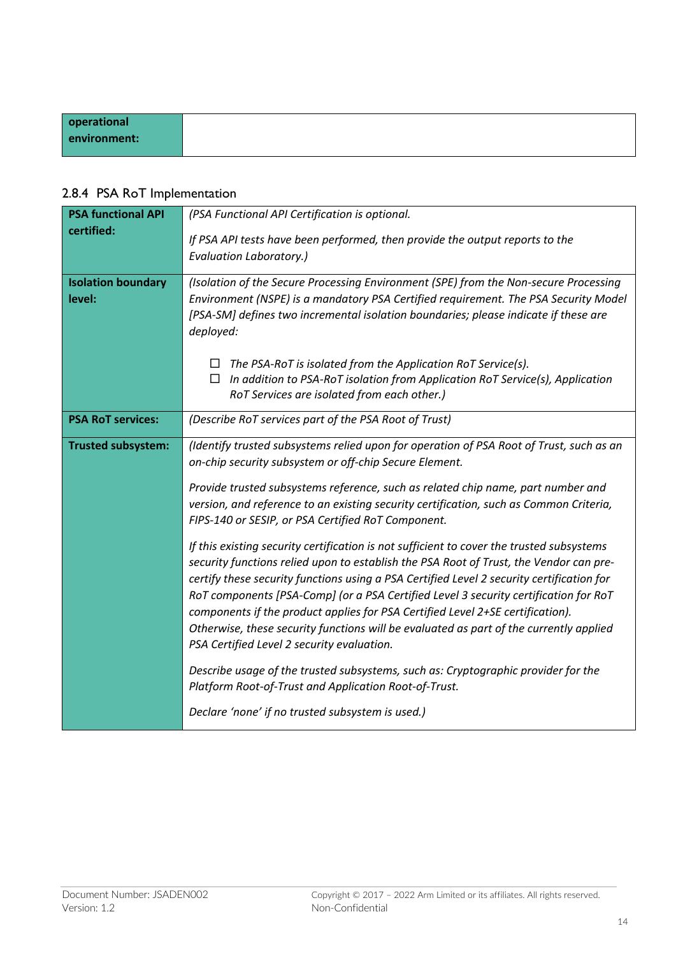|  |  |  | 2.8.4 PSA RoT Implementation |
|--|--|--|------------------------------|
|--|--|--|------------------------------|

| <b>PSA functional API</b>           | (PSA Functional API Certification is optional.                                                                                                                                                                                                                                                                                                                                                                                                                                                                                                                                                     |  |
|-------------------------------------|----------------------------------------------------------------------------------------------------------------------------------------------------------------------------------------------------------------------------------------------------------------------------------------------------------------------------------------------------------------------------------------------------------------------------------------------------------------------------------------------------------------------------------------------------------------------------------------------------|--|
| certified:                          | If PSA API tests have been performed, then provide the output reports to the<br><b>Evaluation Laboratory.)</b>                                                                                                                                                                                                                                                                                                                                                                                                                                                                                     |  |
| <b>Isolation boundary</b><br>level: | (Isolation of the Secure Processing Environment (SPE) from the Non-secure Processing<br>Environment (NSPE) is a mandatory PSA Certified requirement. The PSA Security Model<br>[PSA-SM] defines two incremental isolation boundaries; please indicate if these are<br>deployed:                                                                                                                                                                                                                                                                                                                    |  |
|                                     | The PSA-RoT is isolated from the Application RoT Service(s).<br>$\Box$<br>In addition to PSA-RoT isolation from Application RoT Service(s), Application<br>$\Box$<br>RoT Services are isolated from each other.)                                                                                                                                                                                                                                                                                                                                                                                   |  |
| <b>PSA RoT services:</b>            | (Describe RoT services part of the PSA Root of Trust)                                                                                                                                                                                                                                                                                                                                                                                                                                                                                                                                              |  |
| <b>Trusted subsystem:</b>           | (Identify trusted subsystems relied upon for operation of PSA Root of Trust, such as an<br>on-chip security subsystem or off-chip Secure Element.                                                                                                                                                                                                                                                                                                                                                                                                                                                  |  |
|                                     | Provide trusted subsystems reference, such as related chip name, part number and<br>version, and reference to an existing security certification, such as Common Criteria,<br>FIPS-140 or SESIP, or PSA Certified RoT Component.                                                                                                                                                                                                                                                                                                                                                                   |  |
|                                     | If this existing security certification is not sufficient to cover the trusted subsystems<br>security functions relied upon to establish the PSA Root of Trust, the Vendor can pre-<br>certify these security functions using a PSA Certified Level 2 security certification for<br>RoT components [PSA-Comp] (or a PSA Certified Level 3 security certification for RoT<br>components if the product applies for PSA Certified Level 2+SE certification).<br>Otherwise, these security functions will be evaluated as part of the currently applied<br>PSA Certified Level 2 security evaluation. |  |
|                                     | Describe usage of the trusted subsystems, such as: Cryptographic provider for the<br>Platform Root-of-Trust and Application Root-of-Trust.                                                                                                                                                                                                                                                                                                                                                                                                                                                         |  |
|                                     | Declare 'none' if no trusted subsystem is used.)                                                                                                                                                                                                                                                                                                                                                                                                                                                                                                                                                   |  |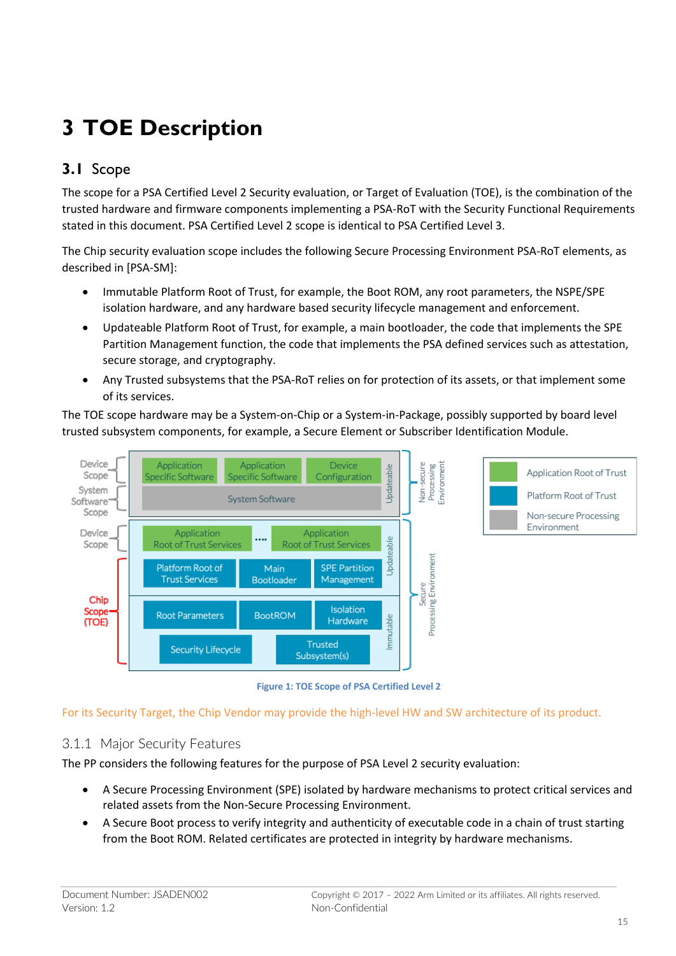# **3 TOE Description**

## **3.1** Scope

The scope for a PSA Certified Level 2 Security evaluation, or Target of Evaluation (TOE), is the combination of the trusted hardware and firmware components implementing a PSA-RoT with the Security Functional Requirements stated in this document. PSA Certified Level 2 scope is identical to PSA Certified Level 3.

The Chip security evaluation scope includes the following Secure Processing Environment PSA-RoT elements, as described in [PSA-SM]:

- Immutable Platform Root of Trust, for example, the Boot ROM, any root parameters, the NSPE/SPE isolation hardware, and any hardware based security lifecycle management and enforcement.
- Updateable Platform Root of Trust, for example, a main bootloader, the code that implements the SPE Partition Management function, the code that implements the PSA defined services such as attestation, secure storage, and cryptography.
- Any Trusted subsystems that the PSA-RoT relies on for protection of its assets, or that implement some of its services.

The TOE scope hardware may be a System-on-Chip or a System-in-Package, possibly supported by board level trusted subsystem components, for example, a Secure Element or Subscriber Identification Module.



**Figure 1: TOE Scope of PSA Certified Level 2**

For its Security Target, the Chip Vendor may provide the high-level HW and SW architecture of its product.

#### 3.1.1 Major Security Features

The PP considers the following features for the purpose of PSA Level 2 security evaluation:

- A Secure Processing Environment (SPE) isolated by hardware mechanisms to protect critical services and related assets from the Non-Secure Processing Environment.
- A Secure Boot process to verify integrity and authenticity of executable code in a chain of trust starting from the Boot ROM. Related certificates are protected in integrity by hardware mechanisms.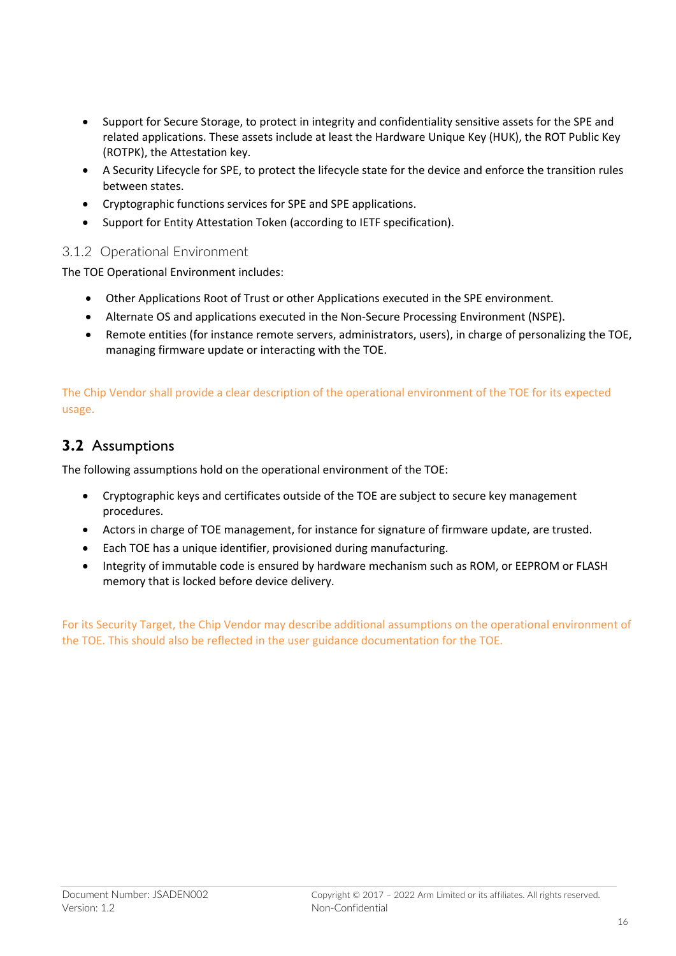- Support for Secure Storage, to protect in integrity and confidentiality sensitive assets for the SPE and related applications. These assets include at least the Hardware Unique Key (HUK), the ROT Public Key (ROTPK), the Attestation key.
- A Security Lifecycle for SPE, to protect the lifecycle state for the device and enforce the transition rules between states.
- Cryptographic functions services for SPE and SPE applications.
- Support for Entity Attestation Token (according to IETF specification).

#### 3.1.2 Operational Environment

The TOE Operational Environment includes:

- Other Applications Root of Trust or other Applications executed in the SPE environment.
- Alternate OS and applications executed in the Non-Secure Processing Environment (NSPE).
- Remote entities (for instance remote servers, administrators, users), in charge of personalizing the TOE, managing firmware update or interacting with the TOE.

The Chip Vendor shall provide a clear description of the operational environment of the TOE for its expected usage.

### **3.2** Assumptions

The following assumptions hold on the operational environment of the TOE:

- Cryptographic keys and certificates outside of the TOE are subject to secure key management procedures.
- Actors in charge of TOE management, for instance for signature of firmware update, are trusted.
- Each TOE has a unique identifier, provisioned during manufacturing.
- Integrity of immutable code is ensured by hardware mechanism such as ROM, or EEPROM or FLASH memory that is locked before device delivery.

For its Security Target, the Chip Vendor may describe additional assumptions on the operational environment of the TOE. This should also be reflected in the user guidance documentation for the TOE.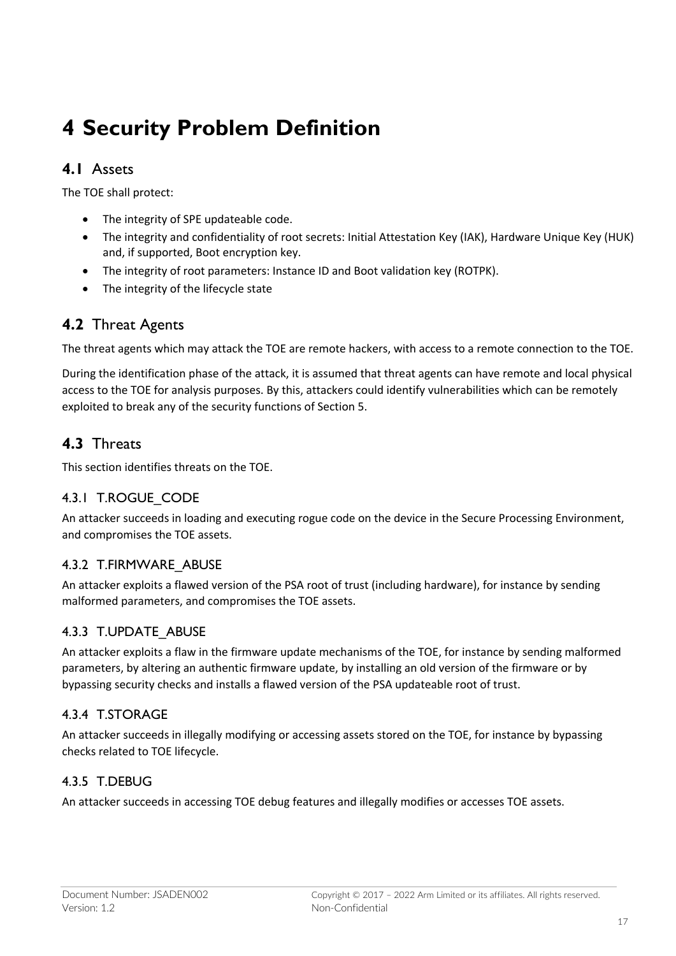# **4 Security Problem Definition**

### **4.1** Assets

The TOE shall protect:

- The integrity of SPE updateable code.
- The integrity and confidentiality of root secrets: Initial Attestation Key (IAK), Hardware Unique Key (HUK) and, if supported, Boot encryption key.
- The integrity of root parameters: Instance ID and Boot validation key (ROTPK).
- The integrity of the lifecycle state

#### **4.2** Threat Agents

The threat agents which may attack the TOE are remote hackers, with access to a remote connection to the TOE.

During the identification phase of the attack, it is assumed that threat agents can have remote and local physical access to the TOE for analysis purposes. By this, attackers could identify vulnerabilities which can be remotely exploited to break any of the security functions of Section 5.

### **4.3** Threats

This section identifies threats on the TOE.

#### 4.3.1 T.ROGUE CODE

An attacker succeeds in loading and executing rogue code on the device in the Secure Processing Environment, and compromises the TOE assets.

#### 4.3.2 T.FIRMWARE\_ABUSE

An attacker exploits a flawed version of the PSA root of trust (including hardware), for instance by sending malformed parameters, and compromises the TOE assets.

#### 4.3.3 T.UPDATE\_ABUSE

An attacker exploits a flaw in the firmware update mechanisms of the TOE, for instance by sending malformed parameters, by altering an authentic firmware update, by installing an old version of the firmware or by bypassing security checks and installs a flawed version of the PSA updateable root of trust.

#### 4.3.4 T.STORAGE

An attacker succeeds in illegally modifying or accessing assets stored on the TOE, for instance by bypassing checks related to TOE lifecycle.

#### 4.3.5 T.DEBUG

An attacker succeeds in accessing TOE debug features and illegally modifies or accesses TOE assets.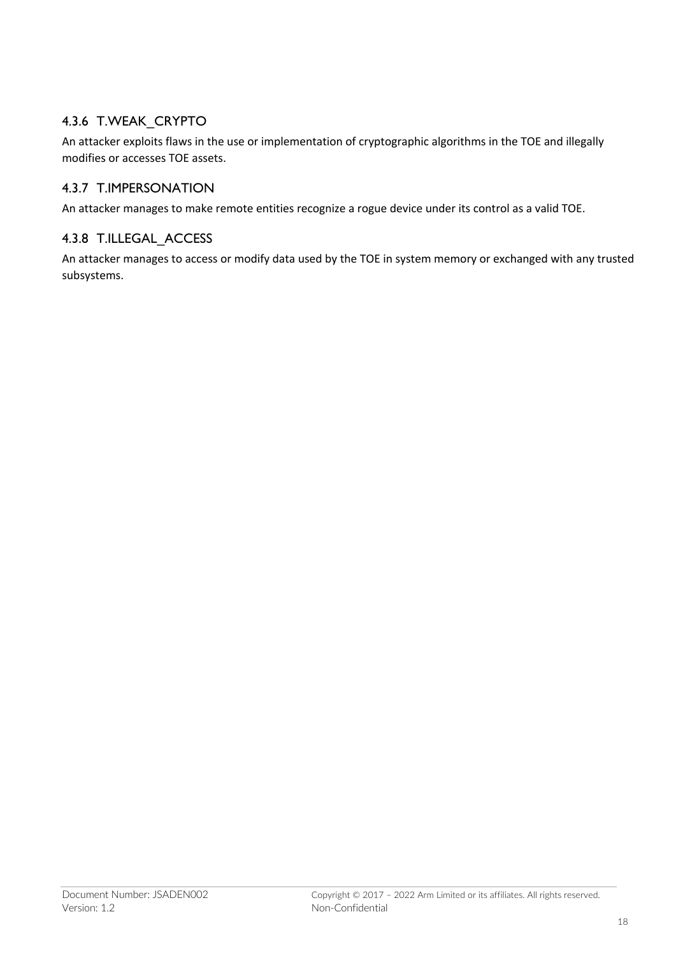#### 4.3.6 T.WEAK\_CRYPTO

An attacker exploits flaws in the use or implementation of cryptographic algorithms in the TOE and illegally modifies or accesses TOE assets.

#### 4.3.7 T.IMPERSONATION

An attacker manages to make remote entities recognize a rogue device under its control as a valid TOE.

#### 4.3.8 T.ILLEGAL\_ACCESS

An attacker manages to access or modify data used by the TOE in system memory or exchanged with any trusted subsystems.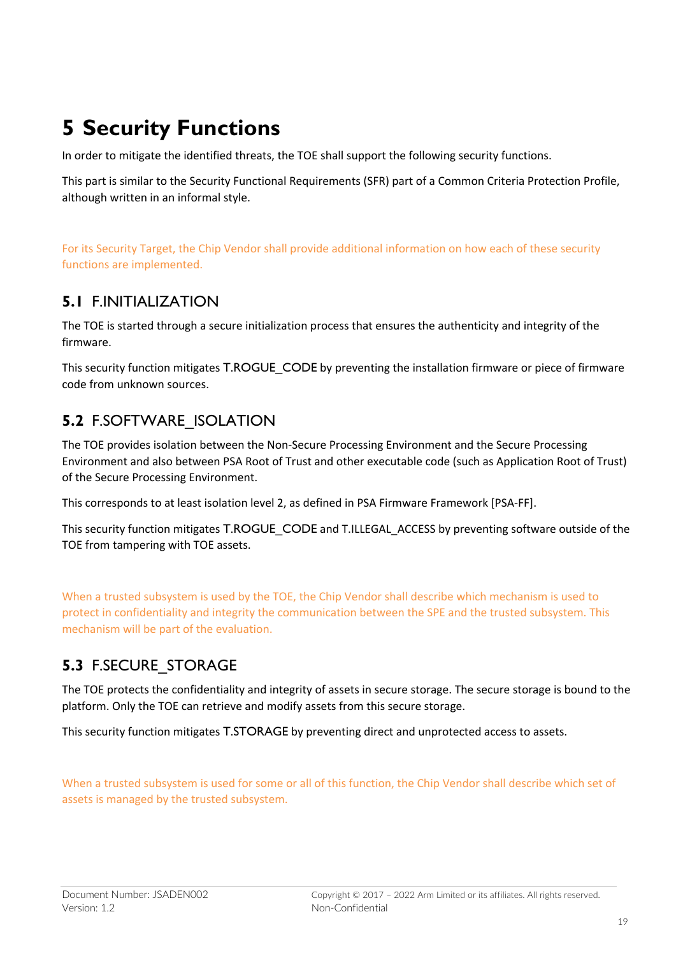# **5 Security Functions**

In order to mitigate the identified threats, the TOE shall support the following security functions.

This part is similar to the Security Functional Requirements (SFR) part of a Common Criteria Protection Profile, although written in an informal style.

For its Security Target, the Chip Vendor shall provide additional information on how each of these security functions are implemented.

### **5.1** F.INITIALIZATION

The TOE is started through a secure initialization process that ensures the authenticity and integrity of the firmware.

This security function mitigates T.ROGUE\_CODE by preventing the installation firmware or piece of firmware code from unknown sources.

## **5.2** F.SOFTWARE\_ISOLATION

The TOE provides isolation between the Non-Secure Processing Environment and the Secure Processing Environment and also between PSA Root of Trust and other executable code (such as Application Root of Trust) of the Secure Processing Environment.

This corresponds to at least isolation level 2, as defined in PSA Firmware Framework [PSA-FF].

This security function mitigates T.ROGUE\_CODE and T.ILLEGAL\_ACCESS by preventing software outside of the TOE from tampering with TOE assets.

When a trusted subsystem is used by the TOE, the Chip Vendor shall describe which mechanism is used to protect in confidentiality and integrity the communication between the SPE and the trusted subsystem. This mechanism will be part of the evaluation.

## **5.3** F.SECURE\_STORAGE

The TOE protects the confidentiality and integrity of assets in secure storage. The secure storage is bound to the platform. Only the TOE can retrieve and modify assets from this secure storage.

This security function mitigates T.STORAGE by preventing direct and unprotected access to assets.

When a trusted subsystem is used for some or all of this function, the Chip Vendor shall describe which set of assets is managed by the trusted subsystem.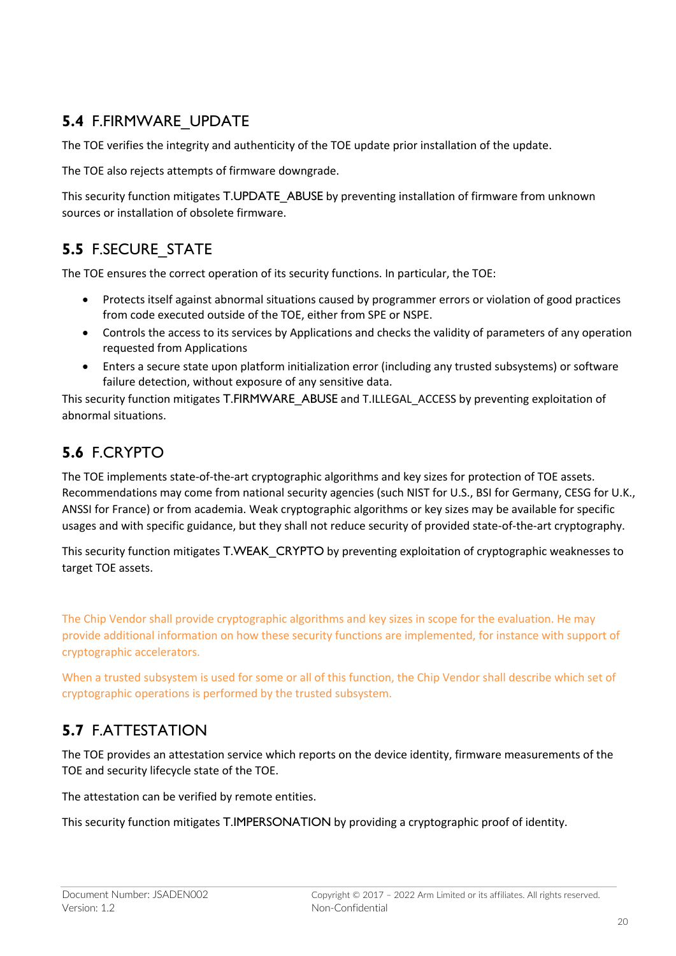## **5.4** F.FIRMWARE\_UPDATE

The TOE verifies the integrity and authenticity of the TOE update prior installation of the update.

The TOE also rejects attempts of firmware downgrade.

This security function mitigates T.UPDATE\_ABUSE by preventing installation of firmware from unknown sources or installation of obsolete firmware.

## **5.5** F.SECURE\_STATE

The TOE ensures the correct operation of its security functions. In particular, the TOE:

- Protects itself against abnormal situations caused by programmer errors or violation of good practices from code executed outside of the TOE, either from SPE or NSPE.
- Controls the access to its services by Applications and checks the validity of parameters of any operation requested from Applications
- Enters a secure state upon platform initialization error (including any trusted subsystems) or software failure detection, without exposure of any sensitive data.

This security function mitigates T.FIRMWARE\_ABUSE and T.ILLEGAL\_ACCESS by preventing exploitation of abnormal situations.

# **5.6** F.CRYPTO

The TOE implements state-of-the-art cryptographic algorithms and key sizes for protection of TOE assets. Recommendations may come from national security agencies (such NIST for U.S., BSI for Germany, CESG for U.K., ANSSI for France) or from academia. Weak cryptographic algorithms or key sizes may be available for specific usages and with specific guidance, but they shall not reduce security of provided state-of-the-art cryptography.

This security function mitigates T.WEAK\_CRYPTO by preventing exploitation of cryptographic weaknesses to target TOE assets.

The Chip Vendor shall provide cryptographic algorithms and key sizes in scope for the evaluation. He may provide additional information on how these security functions are implemented, for instance with support of cryptographic accelerators.

When a trusted subsystem is used for some or all of this function, the Chip Vendor shall describe which set of cryptographic operations is performed by the trusted subsystem.

## **5.7** F.ATTESTATION

The TOE provides an attestation service which reports on the device identity, firmware measurements of the TOE and security lifecycle state of the TOE.

The attestation can be verified by remote entities.

This security function mitigates T.IMPERSONATION by providing a cryptographic proof of identity.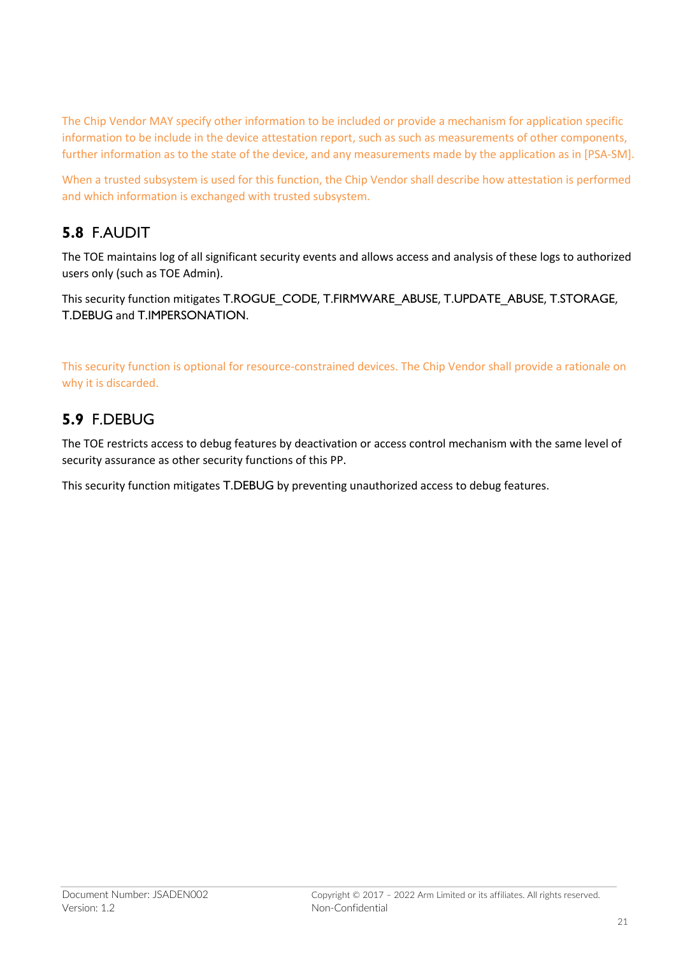The Chip Vendor MAY specify other information to be included or provide a mechanism for application specific information to be include in the device attestation report, such as such as measurements of other components, further information as to the state of the device, and any measurements made by the application as in [PSA-SM].

When a trusted subsystem is used for this function, the Chip Vendor shall describe how attestation is performed and which information is exchanged with trusted subsystem.

## **5.8** F.AUDIT

The TOE maintains log of all significant security events and allows access and analysis of these logs to authorized users only (such as TOE Admin).

This security function mitigates T.ROGUE\_CODE, T.FIRMWARE\_ABUSE, T.UPDATE\_ABUSE, T.STORAGE, T.DEBUG and T.IMPERSONATION.

This security function is optional for resource-constrained devices. The Chip Vendor shall provide a rationale on why it is discarded.

## **5.9** F.DEBUG

The TOE restricts access to debug features by deactivation or access control mechanism with the same level of security assurance as other security functions of this PP.

This security function mitigates T.DEBUG by preventing unauthorized access to debug features.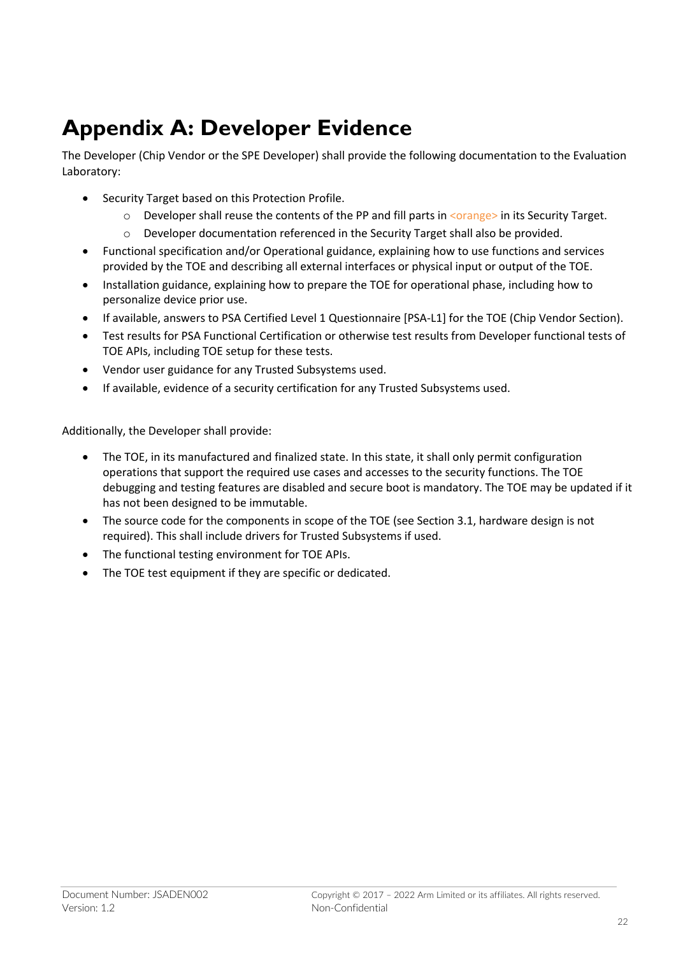# **Appendix A: Developer Evidence**

The Developer (Chip Vendor or the SPE Developer) shall provide the following documentation to the Evaluation Laboratory:

- Security Target based on this Protection Profile.
	- o Developer shall reuse the contents of the PP and fill parts in <orange> in its Security Target.
	- $\circ$  Developer documentation referenced in the Security Target shall also be provided.
- Functional specification and/or Operational guidance, explaining how to use functions and services provided by the TOE and describing all external interfaces or physical input or output of the TOE.
- Installation guidance, explaining how to prepare the TOE for operational phase, including how to personalize device prior use.
- If available, answers to PSA Certified Level 1 Questionnaire [PSA-L1] for the TOE (Chip Vendor Section).
- Test results for PSA Functional Certification or otherwise test results from Developer functional tests of TOE APIs, including TOE setup for these tests.
- Vendor user guidance for any Trusted Subsystems used.
- If available, evidence of a security certification for any Trusted Subsystems used.

Additionally, the Developer shall provide:

- The TOE, in its manufactured and finalized state. In this state, it shall only permit configuration operations that support the required use cases and accesses to the security functions. The TOE debugging and testing features are disabled and secure boot is mandatory. The TOE may be updated if it has not been designed to be immutable.
- The source code for the components in scope of the TOE (see Section 3.1, hardware design is not required). This shall include drivers for Trusted Subsystems if used.
- The functional testing environment for TOE APIs.
- The TOE test equipment if they are specific or dedicated.